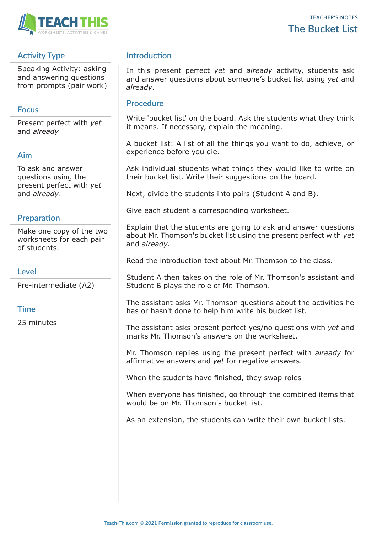

# **Activity Type**

Speaking Activity: asking and answering questions from prompts (pair work)

## **Focus**

Present perfect with *yet* and *already*

# **Aim**

To ask and answer questions using the present perfect with *yet* and *already*.

## **Preparation**

Make one copy of the two worksheets for each pair of students.

# **Level**

Pre-intermediate (A2)

### **Time**

25 minutes

# **Introduction**

In this present perfect *yet* and *already* activity, students ask and answer questions about someone's bucket list using *yet* and *already*.

### **Procedure**

Write 'bucket list' on the board. Ask the students what they think it means. If necessary, explain the meaning.

A bucket list: A list of all the things you want to do, achieve, or experience before you die.

Ask individual students what things they would like to write on their bucket list. Write their suggestions on the board.

Next, divide the students into pairs (Student A and B).

Give each student a corresponding worksheet.

Explain that the students are going to ask and answer questions about Mr. Thomson's bucket list using the present perfect with *yet* and *already*.

Read the introduction text about Mr. Thomson to the class.

Student A then takes on the role of Mr. Thomson's assistant and Student B plays the role of Mr. Thomson.

The assistant asks Mr. Thomson questions about the activities he has or hasn't done to help him write his bucket list.

The assistant asks present perfect yes/no questions with *yet* and marks Mr. Thomson's answers on the worksheet.

Mr. Thomson replies using the present perfect with *already* for affirmative answers and *yet* for negative answers.

When the students have finished, they swap roles

When everyone has finished, go through the combined items that would be on Mr. Thomson's bucket list.

As an extension, the students can write their own bucket lists.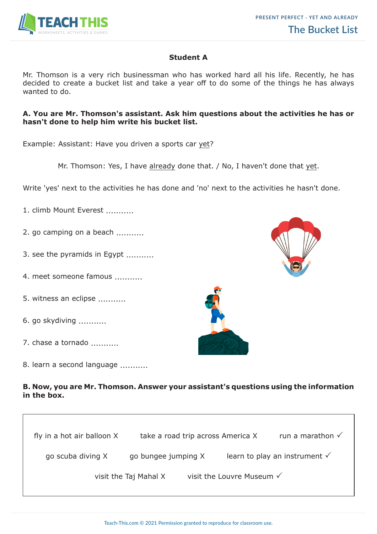

### **Student A**

Mr. Thomson is a very rich businessman who has worked hard all his life. Recently, he has decided to create a bucket list and take a year off to do some of the things he has always wanted to do.

### **A. You are Mr. Thomson's assistant. Ask him questions about the activities he has or hasn't done to help him write his bucket list.**

Example: Assistant: Have you driven a sports car yet?

Mr. Thomson: Yes, I have already done that. / No, I haven't done that yet.

Write 'yes' next to the activities he has done and 'no' next to the activities he hasn't done.

- 1. climb Mount Everest ...........
- 2. go camping on a beach ...........
- 3. see the pyramids in Egypt ...........
- 4. meet someone famous ...........
- 5. witness an eclipse ...........
- 6. go skydiving ...........
- 7. chase a tornado ...........
- 8. learn a second language ...........





## **B. Now, you are Mr. Thomson. Answer your assistant's questions using the information in the box.**

| fly in a hot air balloon X                                    |                     | take a road trip across America X | run a marathon $\checkmark$              |
|---------------------------------------------------------------|---------------------|-----------------------------------|------------------------------------------|
| go scuba diving X                                             | go bungee jumping X |                                   | learn to play an instrument $\checkmark$ |
| visit the Louvre Museum $\checkmark$<br>visit the Taj Mahal X |                     |                                   |                                          |